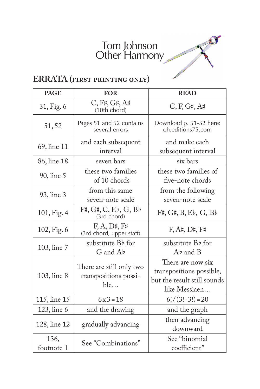## Tom Johnson Other Harmony

T



| <b>PAGE</b>  | <b>FOR</b>                                                   | <b>READ</b>                                   |
|--------------|--------------------------------------------------------------|-----------------------------------------------|
| 31, Fig. 6   | C, F#, G#, A#<br>(10th chord)                                | C, F, G#, A#                                  |
| 51,52        | Pages 51 and 52 contains<br>several errors                   | Download p. 51-52 here:<br>oh.editions75.com  |
| 69, line 11  | and each subsequent                                          | and make each                                 |
|              | interval                                                     | subsequent interval                           |
| 86, line 18  | seven bars                                                   | six bars                                      |
| 90, line 5   | these two families                                           | these two families of                         |
|              | of 10 chords                                                 | five-note chords                              |
| 93, line 3   | from this same                                               | from the following                            |
|              | seven-note scale                                             | seven-note scale                              |
| 101, Fig. 4  | $F#$ , $G#$ , $C$ , $E\flat$ , $G$ , $B\flat$<br>(3rd chord) | $F#$ , $G#$ , $B$ , $E\flat$ , $G$ , $B\flat$ |
| 102, Fig. 6  | F, A, D#, F#<br>(3rd chord, upper staff)                     | $F, A\sharp, D\sharp, F\sharp$                |
|              | substitute Bb for                                            | substitute B <sub>b</sub> for                 |
| 103, line 7  | G and Ab                                                     | $Ab$ and $B$                                  |
|              | There are still only two<br>transpositions possi-<br>ble     | There are now six                             |
| 103, line 8  |                                                              | transpositions possible,                      |
|              |                                                              | but the result still sounds                   |
|              |                                                              | like Messiaen                                 |
| 115, line 15 | $6x3 = 18$                                                   | $6!/(3! \cdot 3!) = 20$                       |
| 123, line 6  | and the drawing                                              | and the graph                                 |
| 128, line 12 | gradually advancing                                          | then advancing                                |
|              |                                                              | downward                                      |
| 136,         | See "Combinations"                                           | See "binomial                                 |
| footnote 1   |                                                              | coefficient"                                  |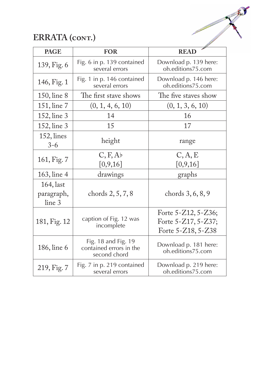

# **ERRATA (cont.)**

| <b>PAGE</b>                          | <b>FOR</b>                                                     | <b>READ</b>                                                                |
|--------------------------------------|----------------------------------------------------------------|----------------------------------------------------------------------------|
| 139, Fig. 6                          | Fig. 6 in p. 139 contained<br>several errors                   | Download p. 139 here:<br>oh.editions75.com                                 |
| 146, Fig. 1                          | Fig. 1 in p. 146 contained<br>several errors                   | Download p. 146 here:<br>oh.editions75.com                                 |
| 150, line 8                          | The first stave shows                                          | The five staves show                                                       |
| 151, line 7                          | (0, 1, 4, 6, 10)                                               | (0, 1, 3, 6, 10)                                                           |
| 152, line 3                          | 14                                                             | 16                                                                         |
| 152, line 3                          | 15                                                             | 17                                                                         |
| 152, lines<br>$3 - 6$                | height                                                         | range                                                                      |
| 161, Fig. 7                          | C, F, Ab<br>[0, 9, 16]                                         | C, A, E<br>[0,9,16]                                                        |
| 163, line 4                          | drawings                                                       | graphs                                                                     |
| $164$ , last<br>paragraph,<br>line 3 | chords 2, 5, 7, 8                                              | chords 3, 6, 8, 9                                                          |
| 181, Fig. 12                         | caption of Fig. 12 was<br>incomplete                           | Forte $5 - Z12$ , $5 - Z36$ ;<br>Forte 5-Z17, 5-Z37;<br>Forte 5-Z18, 5-Z38 |
| 186, line 6                          | Fig. 18 and Fig. 19<br>contained errors in the<br>second chord | Download p. 181 here:<br>oh.editions75.com                                 |
| 219, Fig. 7                          | Fig. 7 in p. 219 contained<br>several errors                   | Download p. 219 here:<br>oh.editions75.com                                 |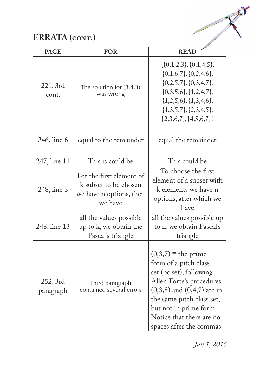# **ERRATA (cont.)**

| <b>PAGE</b>           | <b>FOR</b>                                                                              | <b>READ</b>                                                                                                                                                                                                                                                  |
|-----------------------|-----------------------------------------------------------------------------------------|--------------------------------------------------------------------------------------------------------------------------------------------------------------------------------------------------------------------------------------------------------------|
| 221, 3rd<br>cont.     | The solution for $(8,4,3)$<br>was wrong                                                 | $\{(0,1,2,3), (0,1,4,5),$<br>$\{0,1,6,7\}, \{0,2,4,6\},\$<br>$\{0,2,5,7\}, \{0,3,4,7\},\$<br>$\{0,3,5,6\}, \{1,2,4,7\},\$<br>$\{1,2,5,6\}, \{1,3,4,6\},\$<br>$\{1,3,5,7\}, \{2,3,4,5\},\$<br>$\{2,3,6,7\}, \{4,5,6,7\}\}$                                    |
| 246, line 6           | equal to the remainder                                                                  | equal the remainder                                                                                                                                                                                                                                          |
| 247, line 11          | This is could be                                                                        | This could be                                                                                                                                                                                                                                                |
| 248, line 3           | For the first element of<br>k subset to be chosen<br>we have n options, then<br>we have | To choose the first<br>element of a subset with<br>k elements we have n<br>options, after which we<br>have                                                                                                                                                   |
| 248, line 13          | all the values possible<br>up to k, we obtain the<br>Pascal's triangle                  | all the values possible up<br>to n, we obtain Pascal's<br>triangle                                                                                                                                                                                           |
| 252, 3rd<br>paragraph | Third paragraph<br>contained several errors                                             | $(0,3,7) \equiv$ the prime<br>form of a pitch class<br>set (pc set), following<br>Allen Forte's procedures.<br>$(0,3,8)$ and $(0,4,7)$ are in<br>the same pitch class set,<br>but not in prime form.<br>Notice that there are no<br>spaces after the commas. |

*Jan 1, 2015*